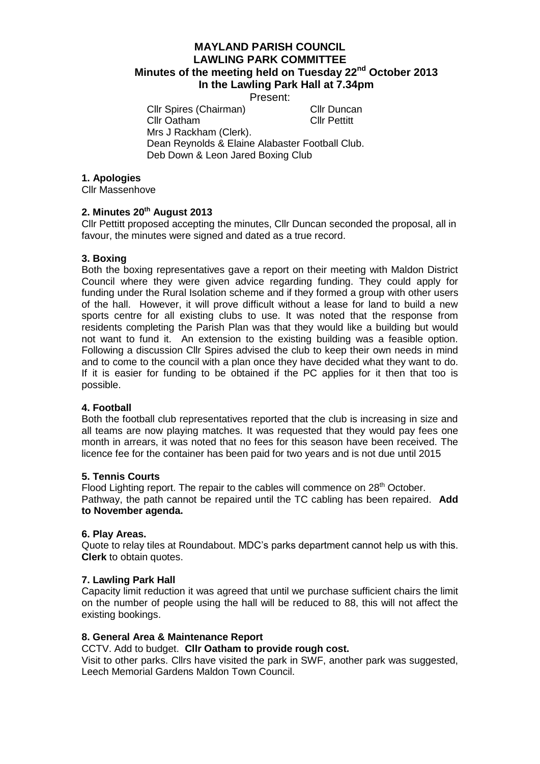# **MAYLAND PARISH COUNCIL LAWLING PARK COMMITTEE Minutes of the meeting held on Tuesday 22nd October 2013 In the Lawling Park Hall at 7.34pm**

Present:

Cllr Spires (Chairman) Cllr Duncan Cllr Oatham Cllr Pettitt

Mrs J Rackham (Clerk). Dean Reynolds & Elaine Alabaster Football Club. Deb Down & Leon Jared Boxing Club

## **1. Apologies**

Cllr Massenhove

# **2. Minutes 20th August 2013**

Cllr Pettitt proposed accepting the minutes, Cllr Duncan seconded the proposal, all in favour, the minutes were signed and dated as a true record.

# **3. Boxing**

Both the boxing representatives gave a report on their meeting with Maldon District Council where they were given advice regarding funding. They could apply for funding under the Rural Isolation scheme and if they formed a group with other users of the hall. However, it will prove difficult without a lease for land to build a new sports centre for all existing clubs to use. It was noted that the response from residents completing the Parish Plan was that they would like a building but would not want to fund it. An extension to the existing building was a feasible option. Following a discussion Cllr Spires advised the club to keep their own needs in mind and to come to the council with a plan once they have decided what they want to do. If it is easier for funding to be obtained if the PC applies for it then that too is possible.

### **4. Football**

Both the football club representatives reported that the club is increasing in size and all teams are now playing matches. It was requested that they would pay fees one month in arrears, it was noted that no fees for this season have been received. The licence fee for the container has been paid for two years and is not due until 2015

### **5. Tennis Courts**

Flood Lighting report. The repair to the cables will commence on 28<sup>th</sup> October. Pathway, the path cannot be repaired until the TC cabling has been repaired. **Add to November agenda.**

### **6. Play Areas.**

Quote to relay tiles at Roundabout. MDC's parks department cannot help us with this. **Clerk** to obtain quotes.

### **7. Lawling Park Hall**

Capacity limit reduction it was agreed that until we purchase sufficient chairs the limit on the number of people using the hall will be reduced to 88, this will not affect the existing bookings.

### **8. General Area & Maintenance Report**

## CCTV. Add to budget. **Cllr Oatham to provide rough cost.**

Visit to other parks. Cllrs have visited the park in SWF, another park was suggested, Leech Memorial Gardens Maldon Town Council.